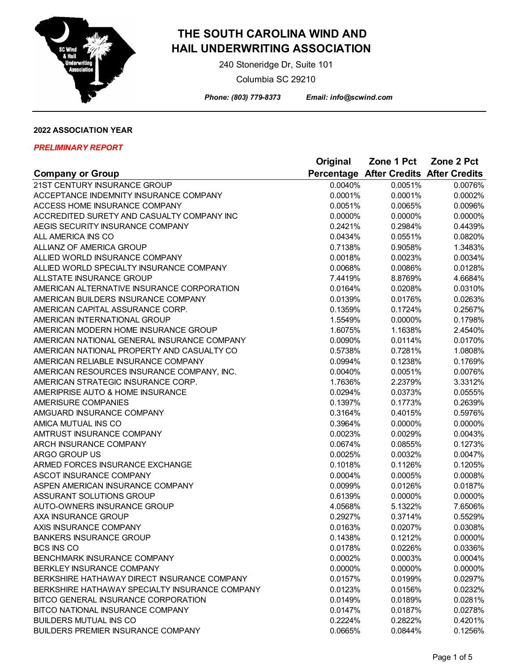

 240 Stoneridge Dr, Suite 101 Columbia SC 29210

 *Phone: (803) 779-8373 Email: info@scwind.com*

## **2022 ASSOCIATION YEAR**

|                                                | Original | Zone 1 Pct                             | Zone 2 Pct |
|------------------------------------------------|----------|----------------------------------------|------------|
| <b>Company or Group</b>                        |          | Percentage After Credits After Credits |            |
| 21ST CENTURY INSURANCE GROUP                   | 0.0040%  | 0.0051%                                | 0.0076%    |
| ACCEPTANCE INDEMNITY INSURANCE COMPANY         | 0.0001%  | 0.0001%                                | 0.0002%    |
| ACCESS HOME INSURANCE COMPANY                  | 0.0051%  | 0.0065%                                | 0.0096%    |
| ACCREDITED SURETY AND CASUALTY COMPANY INC     | 0.0000%  | 0.0000%                                | 0.0000%    |
| AEGIS SECURITY INSURANCE COMPANY               | 0.2421%  | 0.2984%                                | 0.4439%    |
| ALL AMERICA INS CO                             | 0.0434%  | 0.0551%                                | 0.0820%    |
| ALLIANZ OF AMERICA GROUP                       | 0.7138%  | 0.9058%                                | 1.3483%    |
| ALLIED WORLD INSURANCE COMPANY                 | 0.0018%  | 0.0023%                                | 0.0034%    |
| ALLIED WORLD SPECIALTY INSURANCE COMPANY       | 0.0068%  | 0.0086%                                | 0.0128%    |
| ALLSTATE INSURANCE GROUP                       | 7.4419%  | 8.8769%                                | 4.6684%    |
| AMERICAN ALTERNATIVE INSURANCE CORPORATION     | 0.0164%  | 0.0208%                                | 0.0310%    |
| AMERICAN BUILDERS INSURANCE COMPANY            | 0.0139%  | 0.0176%                                | 0.0263%    |
| AMERICAN CAPITAL ASSURANCE CORP.               | 0.1359%  | 0.1724%                                | 0.2567%    |
| AMERICAN INTERNATIONAL GROUP                   | 1.5549%  | 0.0000%                                | 0.1798%    |
| AMERICAN MODERN HOME INSURANCE GROUP           | 1.6075%  | 1.1638%                                | 2.4540%    |
| AMERICAN NATIONAL GENERAL INSURANCE COMPANY    | 0.0090%  | 0.0114%                                | 0.0170%    |
| AMERICAN NATIONAL PROPERTY AND CASUALTY CO     | 0.5738%  | 0.7281%                                | 1.0808%    |
| AMERICAN RELIABLE INSURANCE COMPANY            | 0.0994%  | 0.1238%                                | 0.1769%    |
| AMERICAN RESOURCES INSURANCE COMPANY, INC.     | 0.0040%  | 0.0051%                                | 0.0076%    |
| AMERICAN STRATEGIC INSURANCE CORP.             | 1.7636%  | 2.2379%                                | 3.3312%    |
| AMERIPRISE AUTO & HOME INSURANCE               | 0.0294%  | 0.0373%                                | 0.0555%    |
| <b>AMERISURE COMPANIES</b>                     | 0.1397%  | 0.1773%                                | 0.2639%    |
| AMGUARD INSURANCE COMPANY                      | 0.3164%  | 0.4015%                                | 0.5976%    |
| AMICA MUTUAL INS CO                            | 0.3964%  | 0.0000%                                | 0.0000%    |
| AMTRUST INSURANCE COMPANY                      | 0.0023%  | 0.0029%                                | 0.0043%    |
| ARCH INSURANCE COMPANY                         | 0.0674%  | 0.0855%                                | 0.1273%    |
| ARGO GROUP US                                  | 0.0025%  | 0.0032%                                | 0.0047%    |
| ARMED FORCES INSURANCE EXCHANGE                | 0.1018%  | 0.1126%                                | 0.1205%    |
| ASCOT INSURANCE COMPANY                        | 0.0004%  | 0.0005%                                | 0.0008%    |
| ASPEN AMERICAN INSURANCE COMPANY               | 0.0099%  | 0.0126%                                | 0.0187%    |
| ASSURANT SOLUTIONS GROUP                       | 0.6139%  | 0.0000%                                | 0.0000%    |
| AUTO-OWNERS INSURANCE GROUP                    | 4.0568%  | 5.1322%                                | 7.6506%    |
| AXA INSURANCE GROUP                            | 0.2927%  | 0.3714%                                | 0.5529%    |
| AXIS INSURANCE COMPANY                         | 0.0163%  | 0.0207%                                | 0.0308%    |
| <b>BANKERS INSURANCE GROUP</b>                 | 0.1438%  | 0.1212%                                | 0.0000%    |
| <b>BCS INS CO</b>                              | 0.0178%  | 0.0226%                                | 0.0336%    |
| BENCHMARK INSURANCE COMPANY                    | 0.0002%  | 0.0003%                                | 0.0004%    |
| BERKLEY INSURANCE COMPANY                      | 0.0000%  | 0.0000%                                | 0.0000%    |
| BERKSHIRE HATHAWAY DIRECT INSURANCE COMPANY    | 0.0157%  | 0.0199%                                | 0.0297%    |
| BERKSHIRE HATHAWAY SPECIALTY INSURANCE COMPANY | 0.0123%  | 0.0156%                                | 0.0232%    |
| BITCO GENERAL INSURANCE CORPORATION            | 0.0149%  | 0.0189%                                | 0.0281%    |
| BITCO NATIONAL INSURANCE COMPANY               | 0.0147%  | 0.0187%                                | 0.0278%    |
| <b>BUILDERS MUTUAL INS CO</b>                  | 0.2224%  | 0.2822%                                | 0.4201%    |
| <b>BUILDERS PREMIER INSURANCE COMPANY</b>      | 0.0665%  | 0.0844%                                | 0.1256%    |
|                                                |          |                                        |            |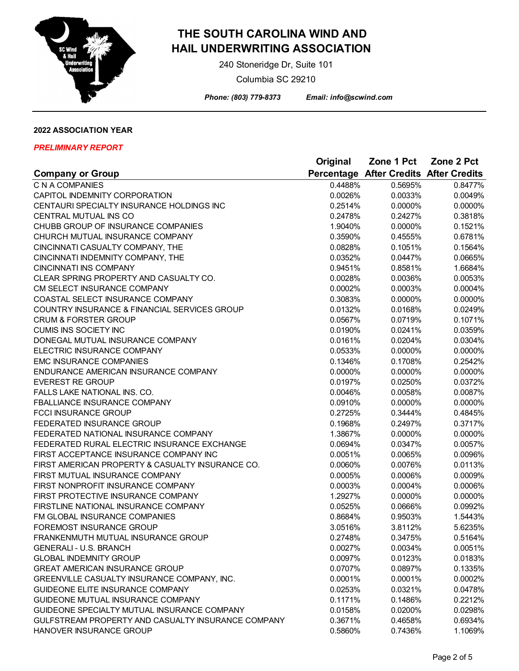

 240 Stoneridge Dr, Suite 101 Columbia SC 29210

 *Phone: (803) 779-8373 Email: info@scwind.com*

## **2022 ASSOCIATION YEAR**

|                                                    | Original | Zone 1 Pct                             | Zone 2 Pct |
|----------------------------------------------------|----------|----------------------------------------|------------|
| <b>Company or Group</b>                            |          | Percentage After Credits After Credits |            |
| C N A COMPANIES                                    | 0.4488%  | 0.5695%                                | 0.8477%    |
| CAPITOL INDEMNITY CORPORATION                      | 0.0026%  | 0.0033%                                | 0.0049%    |
| CENTAURI SPECIALTY INSURANCE HOLDINGS INC          | 0.2514%  | 0.0000%                                | 0.0000%    |
| CENTRAL MUTUAL INS CO                              | 0.2478%  | 0.2427%                                | 0.3818%    |
| CHUBB GROUP OF INSURANCE COMPANIES                 | 1.9040%  | 0.0000%                                | 0.1521%    |
| CHURCH MUTUAL INSURANCE COMPANY                    | 0.3590%  | 0.4555%                                | 0.6781%    |
| CINCINNATI CASUALTY COMPANY, THE                   | 0.0828%  | 0.1051%                                | 0.1564%    |
| CINCINNATI INDEMNITY COMPANY, THE                  | 0.0352%  | 0.0447%                                | 0.0665%    |
| <b>CINCINNATI INS COMPANY</b>                      | 0.9451%  | 0.8581%                                | 1.6684%    |
| CLEAR SPRING PROPERTY AND CASUALTY CO.             | 0.0028%  | 0.0036%                                | 0.0053%    |
| CM SELECT INSURANCE COMPANY                        | 0.0002%  | 0.0003%                                | 0.0004%    |
| COASTAL SELECT INSURANCE COMPANY                   | 0.3083%  | 0.0000%                                | 0.0000%    |
| COUNTRY INSURANCE & FINANCIAL SERVICES GROUP       | 0.0132%  | 0.0168%                                | 0.0249%    |
| <b>CRUM &amp; FORSTER GROUP</b>                    | 0.0567%  | 0.0719%                                | 0.1071%    |
| <b>CUMIS INS SOCIETY INC</b>                       | 0.0190%  | 0.0241%                                | 0.0359%    |
| DONEGAL MUTUAL INSURANCE COMPANY                   | 0.0161%  | 0.0204%                                | 0.0304%    |
| ELECTRIC INSURANCE COMPANY                         | 0.0533%  | 0.0000%                                | 0.0000%    |
| <b>EMC INSURANCE COMPANIES</b>                     | 0.1346%  | 0.1708%                                | 0.2542%    |
| ENDURANCE AMERICAN INSURANCE COMPANY               | 0.0000%  | 0.0000%                                | 0.0000%    |
| <b>EVEREST RE GROUP</b>                            | 0.0197%  | 0.0250%                                | 0.0372%    |
| FALLS LAKE NATIONAL INS. CO.                       | 0.0046%  | 0.0058%                                | 0.0087%    |
| FBALLIANCE INSURANCE COMPANY                       | 0.0910%  | 0.0000%                                | 0.0000%    |
| <b>FCCI INSURANCE GROUP</b>                        | 0.2725%  | 0.3444%                                | 0.4845%    |
| FEDERATED INSURANCE GROUP                          | 0.1968%  | 0.2497%                                | 0.3717%    |
| FEDERATED NATIONAL INSURANCE COMPANY               | 1.3867%  | 0.0000%                                | 0.0000%    |
| FEDERATED RURAL ELECTRIC INSURANCE EXCHANGE        | 0.0694%  | 0.0347%                                | 0.0057%    |
| FIRST ACCEPTANCE INSURANCE COMPANY INC             | 0.0051%  | 0.0065%                                | 0.0096%    |
| FIRST AMERICAN PROPERTY & CASUALTY INSURANCE CO.   | 0.0060%  | 0.0076%                                | 0.0113%    |
| FIRST MUTUAL INSURANCE COMPANY                     | 0.0005%  | 0.0006%                                | 0.0009%    |
| FIRST NONPROFIT INSURANCE COMPANY                  | 0.0003%  | 0.0004%                                | 0.0006%    |
| FIRST PROTECTIVE INSURANCE COMPANY                 | 1.2927%  | 0.0000%                                | 0.0000%    |
| FIRSTLINE NATIONAL INSURANCE COMPANY               | 0.0525%  | 0.0666%                                | 0.0992%    |
| FM GLOBAL INSURANCE COMPANIES                      | 0.8684%  | 0.9503%                                | 1.5443%    |
| FOREMOST INSURANCE GROUP                           | 3.0516%  | 3.8112%                                | 5.6235%    |
| FRANKENMUTH MUTUAL INSURANCE GROUP                 | 0.2748%  | 0.3475%                                | 0.5164%    |
| <b>GENERALI - U.S. BRANCH</b>                      | 0.0027%  | 0.0034%                                | 0.0051%    |
| <b>GLOBAL INDEMNITY GROUP</b>                      | 0.0097%  | 0.0123%                                | 0.0183%    |
| <b>GREAT AMERICAN INSURANCE GROUP</b>              | 0.0707%  | 0.0897%                                | 0.1335%    |
| GREENVILLE CASUALTY INSURANCE COMPANY, INC.        | 0.0001%  | 0.0001%                                | 0.0002%    |
| GUIDEONE ELITE INSURANCE COMPANY                   | 0.0253%  | 0.0321%                                | 0.0478%    |
| GUIDEONE MUTUAL INSURANCE COMPANY                  | 0.1171%  | 0.1486%                                | 0.2212%    |
| GUIDEONE SPECIALTY MUTUAL INSURANCE COMPANY        | 0.0158%  | 0.0200%                                | 0.0298%    |
| GULFSTREAM PROPERTY AND CASUALTY INSURANCE COMPANY | 0.3671%  | 0.4658%                                | 0.6934%    |
| HANOVER INSURANCE GROUP                            | 0.5860%  | 0.7436%                                | 1.1069%    |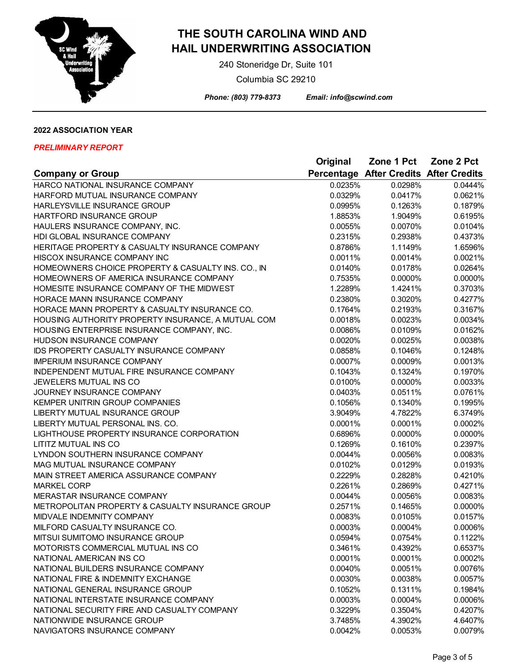

 240 Stoneridge Dr, Suite 101 Columbia SC 29210

 *Phone: (803) 779-8373 Email: info@scwind.com*

## **2022 ASSOCIATION YEAR**

|                                                                                      | Original           | Zone 1 Pct                             | Zone 2 Pct         |
|--------------------------------------------------------------------------------------|--------------------|----------------------------------------|--------------------|
| <b>Company or Group</b>                                                              |                    | Percentage After Credits After Credits |                    |
| HARCO NATIONAL INSURANCE COMPANY                                                     | 0.0235%            | 0.0298%                                | 0.0444%            |
| HARFORD MUTUAL INSURANCE COMPANY                                                     | 0.0329%            | 0.0417%                                | 0.0621%            |
| HARLEYSVILLE INSURANCE GROUP                                                         | 0.0995%            | 0.1263%                                | 0.1879%            |
| HARTFORD INSURANCE GROUP                                                             | 1.8853%            | 1.9049%                                | 0.6195%            |
| HAULERS INSURANCE COMPANY, INC.                                                      | 0.0055%            | 0.0070%                                | 0.0104%            |
| HDI GLOBAL INSURANCE COMPANY                                                         | 0.2315%            | 0.2938%                                | 0.4373%            |
| HERITAGE PROPERTY & CASUALTY INSURANCE COMPANY                                       | 0.8786%            | 1.1149%                                | 1.6596%            |
| HISCOX INSURANCE COMPANY INC                                                         | 0.0011%            | 0.0014%                                | 0.0021%            |
| HOMEOWNERS CHOICE PROPERTY & CASUALTY INS. CO., IN                                   | 0.0140%            | 0.0178%                                | 0.0264%            |
| HOMEOWNERS OF AMERICA INSURANCE COMPANY                                              | 0.7535%            | 0.0000%                                | 0.0000%            |
| HOMESITE INSURANCE COMPANY OF THE MIDWEST                                            | 1.2289%            | 1.4241%                                | 0.3703%            |
| HORACE MANN INSURANCE COMPANY                                                        | 0.2380%            | 0.3020%                                | 0.4277%            |
| HORACE MANN PROPERTY & CASUALTY INSURANCE CO.                                        | 0.1764%            | 0.2193%                                | 0.3167%            |
| HOUSING AUTHORITY PROPERTY INSURANCE, A MUTUAL COM                                   | 0.0018%            | 0.0023%                                | 0.0034%            |
| HOUSING ENTERPRISE INSURANCE COMPANY, INC.                                           | 0.0086%            | 0.0109%                                | 0.0162%            |
| HUDSON INSURANCE COMPANY                                                             | 0.0020%            | 0.0025%                                | 0.0038%            |
| IDS PROPERTY CASUALTY INSURANCE COMPANY                                              | 0.0858%            | 0.1046%                                | 0.1248%            |
| <b>IMPERIUM INSURANCE COMPANY</b>                                                    | 0.0007%            | 0.0009%                                | 0.0013%            |
| INDEPENDENT MUTUAL FIRE INSURANCE COMPANY                                            | 0.1043%            | 0.1324%                                | 0.1970%            |
| JEWELERS MUTUAL INS CO                                                               | 0.0100%            | 0.0000%                                | 0.0033%            |
| JOURNEY INSURANCE COMPANY                                                            | 0.0403%            | 0.0511%                                | 0.0761%            |
| KEMPER UNITRIN GROUP COMPANIES                                                       | 0.1056%            | 0.1340%                                | 0.1995%            |
| LIBERTY MUTUAL INSURANCE GROUP                                                       | 3.9049%            | 4.7822%                                | 6.3749%            |
| LIBERTY MUTUAL PERSONAL INS. CO.                                                     | 0.0001%            | 0.0001%                                | 0.0002%            |
| LIGHTHOUSE PROPERTY INSURANCE CORPORATION                                            | 0.6896%            | 0.0000%                                | 0.0000%            |
| <b>LITITZ MUTUAL INS CO</b>                                                          | 0.1269%            | 0.1610%                                | 0.2397%            |
| LYNDON SOUTHERN INSURANCE COMPANY                                                    | 0.0044%            | 0.0056%                                | 0.0083%            |
| MAG MUTUAL INSURANCE COMPANY                                                         | 0.0102%            | 0.0129%                                | 0.0193%            |
| MAIN STREET AMERICA ASSURANCE COMPANY                                                | 0.2229%            | 0.2828%                                | 0.4210%            |
| <b>MARKEL CORP</b>                                                                   | 0.2261%            | 0.2869%                                | 0.4271%            |
| MERASTAR INSURANCE COMPANY                                                           | 0.0044%            | 0.0056%                                | 0.0083%            |
| METROPOLITAN PROPERTY & CASUALTY INSURANCE GROUP                                     | 0.2571%            | 0.1465%                                | 0.0000%            |
| MIDVALE INDEMNITY COMPANY                                                            | 0.0083%            | 0.0105%                                | 0.0157%            |
| MILFORD CASUALTY INSURANCE CO.                                                       | 0.0003%            | 0.0004%                                | 0.0006%            |
| MITSUI SUMITOMO INSURANCE GROUP                                                      | 0.0594%            | 0.0754%                                | 0.1122%            |
| MOTORISTS COMMERCIAL MUTUAL INS CO                                                   | 0.3461%            | 0.4392%                                | 0.6537%            |
| NATIONAL AMERICAN INS CO                                                             | 0.0001%            | 0.0001%                                | 0.0002%            |
| NATIONAL BUILDERS INSURANCE COMPANY                                                  | 0.0040%            | 0.0051%                                | 0.0076%            |
| NATIONAL FIRE & INDEMNITY EXCHANGE                                                   | 0.0030%            |                                        |                    |
| NATIONAL GENERAL INSURANCE GROUP                                                     | 0.1052%            | 0.0038%<br>0.1311%                     | 0.0057%<br>0.1984% |
|                                                                                      |                    |                                        |                    |
| NATIONAL INTERSTATE INSURANCE COMPANY<br>NATIONAL SECURITY FIRE AND CASUALTY COMPANY | 0.0003%<br>0.3229% | 0.0004%                                | 0.0006%            |
| NATIONWIDE INSURANCE GROUP                                                           |                    | 0.3504%                                | 0.4207%            |
|                                                                                      | 3.7485%            | 4.3902%                                | 4.6407%            |
| NAVIGATORS INSURANCE COMPANY                                                         | 0.0042%            | 0.0053%                                | 0.0079%            |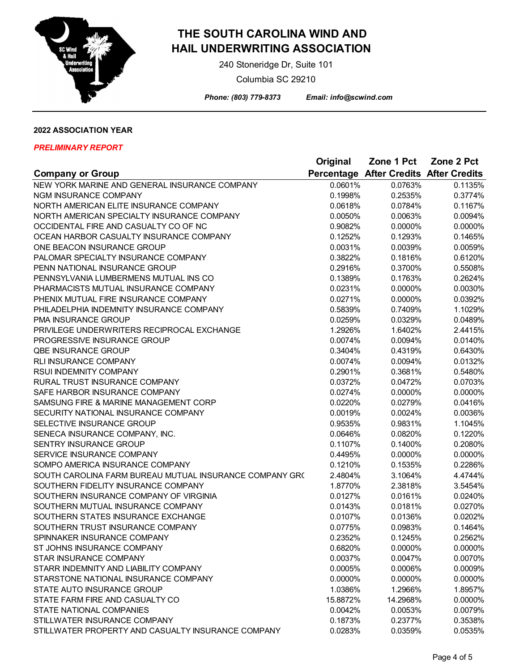

 240 Stoneridge Dr, Suite 101 Columbia SC 29210

 *Phone: (803) 779-8373 Email: info@scwind.com*

## **2022 ASSOCIATION YEAR**

|                                                         | Original | Zone 1 Pct                             | Zone 2 Pct |
|---------------------------------------------------------|----------|----------------------------------------|------------|
| <b>Company or Group</b>                                 |          | Percentage After Credits After Credits |            |
| NEW YORK MARINE AND GENERAL INSURANCE COMPANY           | 0.0601%  | 0.0763%                                | 0.1135%    |
| <b>NGM INSURANCE COMPANY</b>                            | 0.1998%  | 0.2535%                                | 0.3774%    |
| NORTH AMERICAN ELITE INSURANCE COMPANY                  | 0.0618%  | 0.0784%                                | 0.1167%    |
| NORTH AMERICAN SPECIALTY INSURANCE COMPANY              | 0.0050%  | 0.0063%                                | 0.0094%    |
| OCCIDENTAL FIRE AND CASUALTY CO OF NC                   | 0.9082%  | 0.0000%                                | 0.0000%    |
| OCEAN HARBOR CASUALTY INSURANCE COMPANY                 | 0.1252%  | 0.1293%                                | 0.1465%    |
| ONE BEACON INSURANCE GROUP                              | 0.0031%  | 0.0039%                                | 0.0059%    |
| PALOMAR SPECIALTY INSURANCE COMPANY                     | 0.3822%  | 0.1816%                                | 0.6120%    |
| PENN NATIONAL INSURANCE GROUP                           | 0.2916%  | 0.3700%                                | 0.5508%    |
| PENNSYLVANIA LUMBERMENS MUTUAL INS CO                   | 0.1389%  | 0.1763%                                | 0.2624%    |
| PHARMACISTS MUTUAL INSURANCE COMPANY                    | 0.0231%  | 0.0000%                                | 0.0030%    |
| PHENIX MUTUAL FIRE INSURANCE COMPANY                    | 0.0271%  | 0.0000%                                | 0.0392%    |
| PHILADELPHIA INDEMNITY INSURANCE COMPANY                | 0.5839%  | 0.7409%                                | 1.1029%    |
| PMA INSURANCE GROUP                                     | 0.0259%  | 0.0329%                                | 0.0489%    |
| PRIVILEGE UNDERWRITERS RECIPROCAL EXCHANGE              | 1.2926%  | 1.6402%                                | 2.4415%    |
| <b>PROGRESSIVE INSURANCE GROUP</b>                      | 0.0074%  | 0.0094%                                | 0.0140%    |
| <b>QBE INSURANCE GROUP</b>                              | 0.3404%  | 0.4319%                                | 0.6430%    |
| RLI INSURANCE COMPANY                                   | 0.0074%  | 0.0094%                                | 0.0132%    |
| RSUI INDEMNITY COMPANY                                  | 0.2901%  | 0.3681%                                | 0.5480%    |
| RURAL TRUST INSURANCE COMPANY                           | 0.0372%  | 0.0472%                                | 0.0703%    |
| SAFE HARBOR INSURANCE COMPANY                           | 0.0274%  | 0.0000%                                | 0.0000%    |
| SAMSUNG FIRE & MARINE MANAGEMENT CORP                   | 0.0220%  | 0.0279%                                | 0.0416%    |
| SECURITY NATIONAL INSURANCE COMPANY                     | 0.0019%  | 0.0024%                                | 0.0036%    |
| SELECTIVE INSURANCE GROUP                               | 0.9535%  | 0.9831%                                | 1.1045%    |
| SENECA INSURANCE COMPANY, INC.                          | 0.0646%  | 0.0820%                                | 0.1220%    |
| <b>SENTRY INSURANCE GROUP</b>                           | 0.1107%  | 0.1400%                                | 0.2080%    |
| SERVICE INSURANCE COMPANY                               | 0.4495%  | 0.0000%                                | 0.0000%    |
| SOMPO AMERICA INSURANCE COMPANY                         | 0.1210%  | 0.1535%                                | 0.2286%    |
| SOUTH CAROLINA FARM BUREAU MUTUAL INSURANCE COMPANY GR( | 2.4804%  | 3.1064%                                | 4.4744%    |
| SOUTHERN FIDELITY INSURANCE COMPANY                     | 1.8770%  | 2.3818%                                | 3.5454%    |
| SOUTHERN INSURANCE COMPANY OF VIRGINIA                  | 0.0127%  | 0.0161%                                | 0.0240%    |
| SOUTHERN MUTUAL INSURANCE COMPANY                       | 0.0143%  | 0.0181%                                | 0.0270%    |
| SOUTHERN STATES INSURANCE EXCHANGE                      | 0.0107%  | 0.0136%                                | 0.0202%    |
| SOUTHERN TRUST INSURANCE COMPANY                        | 0.0775%  | 0.0983%                                | 0.1464%    |
| SPINNAKER INSURANCE COMPANY                             | 0.2352%  | 0.1245%                                | 0.2562%    |
| ST JOHNS INSURANCE COMPANY                              | 0.6820%  | 0.0000%                                | 0.0000%    |
| STAR INSURANCE COMPANY                                  | 0.0037%  | 0.0047%                                | 0.0070%    |
| STARR INDEMNITY AND LIABILITY COMPANY                   | 0.0005%  | 0.0006%                                | 0.0009%    |
| STARSTONE NATIONAL INSURANCE COMPANY                    | 0.0000%  | 0.0000%                                | 0.0000%    |
| STATE AUTO INSURANCE GROUP                              | 1.0386%  | 1.2966%                                | 1.8957%    |
| STATE FARM FIRE AND CASUALTY CO                         | 15.8872% | 14.2968%                               | 0.0000%    |
| STATE NATIONAL COMPANIES                                | 0.0042%  | 0.0053%                                | 0.0079%    |
| STILLWATER INSURANCE COMPANY                            | 0.1873%  | 0.2377%                                | 0.3538%    |
| STILLWATER PROPERTY AND CASUALTY INSURANCE COMPANY      | 0.0283%  | 0.0359%                                | 0.0535%    |